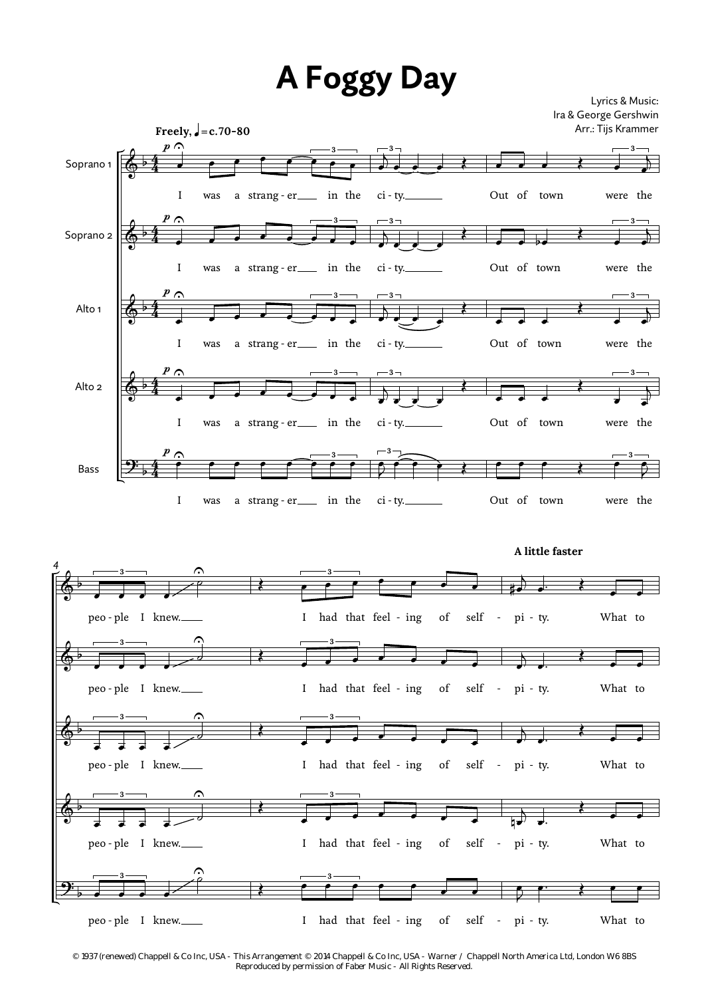## **A Foggy Day**

Lyrics & Music: Ira & George Gershwin Arr.: Tijs Krammer



**A little faster**



*© 1937 (renewed) Chappell & Co Inc, USA - This Arrangement © 2014 Chappell & Co Inc, USA - Warner / Chappell North America Ltd, London W6 8BS Reproduced by permission of Faber Music - All Rights Reserved.*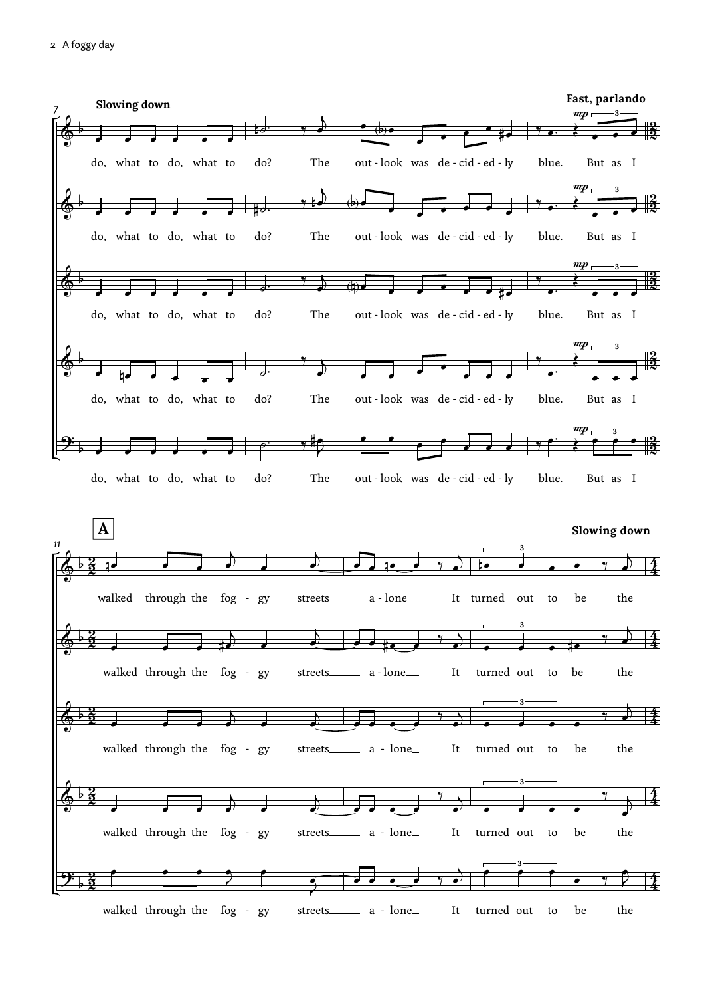